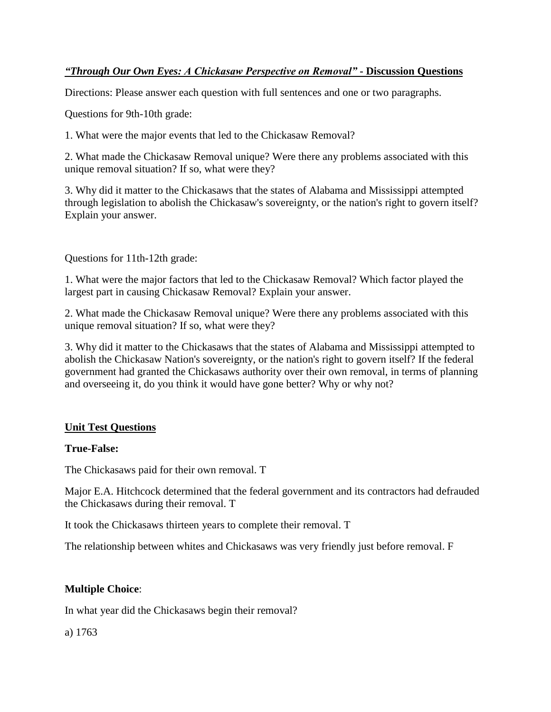# *"Through Our Own Eyes: A Chickasaw Perspective on Removal"* **- Discussion Questions**

Directions: Please answer each question with full sentences and one or two paragraphs.

Questions for 9th-10th grade:

1. What were the major events that led to the Chickasaw Removal?

2. What made the Chickasaw Removal unique? Were there any problems associated with this unique removal situation? If so, what were they?

3. Why did it matter to the Chickasaws that the states of Alabama and Mississippi attempted through legislation to abolish the Chickasaw's sovereignty, or the nation's right to govern itself? Explain your answer.

Questions for 11th-12th grade:

1. What were the major factors that led to the Chickasaw Removal? Which factor played the largest part in causing Chickasaw Removal? Explain your answer.

2. What made the Chickasaw Removal unique? Were there any problems associated with this unique removal situation? If so, what were they?

3. Why did it matter to the Chickasaws that the states of Alabama and Mississippi attempted to abolish the Chickasaw Nation's sovereignty, or the nation's right to govern itself? If the federal government had granted the Chickasaws authority over their own removal, in terms of planning and overseeing it, do you think it would have gone better? Why or why not?

# **Unit Test Questions**

## **True-False:**

The Chickasaws paid for their own removal. T

Major E.A. Hitchcock determined that the federal government and its contractors had defrauded the Chickasaws during their removal. T

It took the Chickasaws thirteen years to complete their removal. T

The relationship between whites and Chickasaws was very friendly just before removal. F

# **Multiple Choice**:

In what year did the Chickasaws begin their removal?

a) 1763